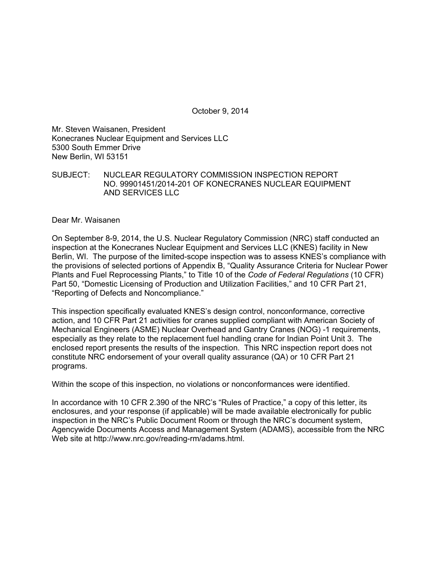October 9, 2014

Mr. Steven Waisanen, President Konecranes Nuclear Equipment and Services LLC 5300 South Emmer Drive New Berlin, WI 53151

SUBJECT: NUCLEAR REGULATORY COMMISSION INSPECTION REPORT NO. 99901451/2014-201 OF KONECRANES NUCLEAR EQUIPMENT AND SERVICES LLC

Dear Mr. Waisanen

On September 8-9, 2014, the U.S. Nuclear Regulatory Commission (NRC) staff conducted an inspection at the Konecranes Nuclear Equipment and Services LLC (KNES) facility in New Berlin, WI. The purpose of the limited-scope inspection was to assess KNES's compliance with the provisions of selected portions of Appendix B, "Quality Assurance Criteria for Nuclear Power Plants and Fuel Reprocessing Plants," to Title 10 of the *Code of Federal Regulations* (10 CFR) Part 50, "Domestic Licensing of Production and Utilization Facilities," and 10 CFR Part 21, "Reporting of Defects and Noncompliance."

This inspection specifically evaluated KNES's design control, nonconformance, corrective action, and 10 CFR Part 21 activities for cranes supplied compliant with American Society of Mechanical Engineers (ASME) Nuclear Overhead and Gantry Cranes (NOG) -1 requirements, especially as they relate to the replacement fuel handling crane for Indian Point Unit 3. The enclosed report presents the results of the inspection. This NRC inspection report does not constitute NRC endorsement of your overall quality assurance (QA) or 10 CFR Part 21 programs.

Within the scope of this inspection, no violations or nonconformances were identified.

In accordance with 10 CFR 2.390 of the NRC's "Rules of Practice," a copy of this letter, its enclosures, and your response (if applicable) will be made available electronically for public inspection in the NRC's Public Document Room or through the NRC's document system, Agencywide Documents Access and Management System (ADAMS), accessible from the NRC Web site at http://www.nrc.gov/reading-rm/adams.html.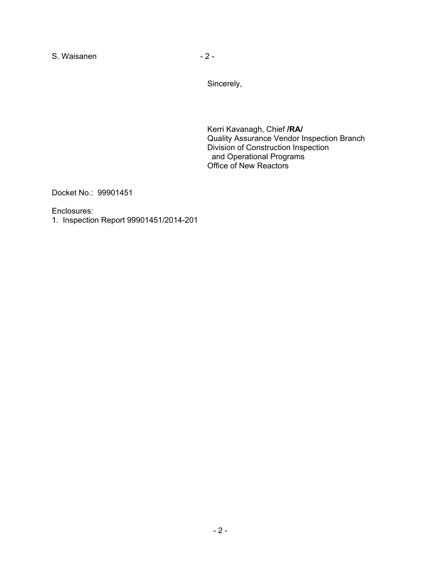S. Waisanen  $-2 -$ 

Sincerely,

Kerri Kavanagh, Chief **/RA/**  Quality Assurance Vendor Inspection Branch Division of Construction Inspection and Operational Programs Office of New Reactors

Docket No.: 99901451

Enclosures:

1. Inspection Report 99901451/2014-201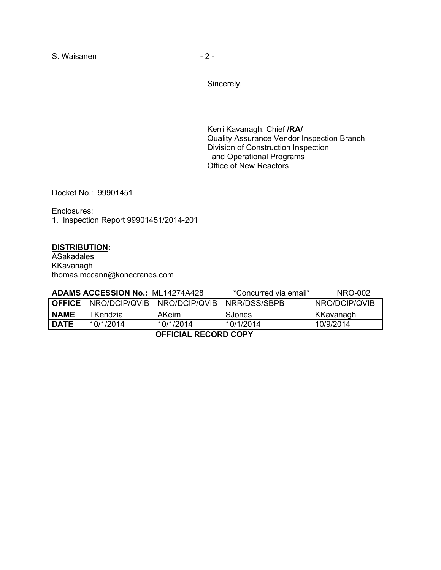S. Waisanen  $-2 -$ 

Sincerely,

Kerri Kavanagh, Chief **/RA/**  Quality Assurance Vendor Inspection Branch Division of Construction Inspection and Operational Programs Office of New Reactors

Docket No.: 99901451

Enclosures: 1. Inspection Report 99901451/2014-201

### **DISTRIBUTION:**

ASakadales KKavanagh thomas.mccann@konecranes.com

| <b>ADAMS ACCESSION No.: ML14274A428</b> |                                               |              | *Concurred via email* | NRO-002       |  |  |  |
|-----------------------------------------|-----------------------------------------------|--------------|-----------------------|---------------|--|--|--|
|                                         | <b>OFFICE</b>   NRO/DCIP/QVIB   NRO/DCIP/QVIB |              | NRR/DSS/SBPB          | NRO/DCIP/QVIB |  |  |  |
| <b>NAME</b>                             | TKendzia                                      | <b>AKeim</b> | SJones                | KKavanagh     |  |  |  |
| <b>DATE</b>                             | 10/1/2014                                     | 10/1/2014    | 10/1/2014             | 10/9/2014     |  |  |  |
| -------<br>------ ----                  |                                               |              |                       |               |  |  |  |

**OFFICIAL RECORD COPY**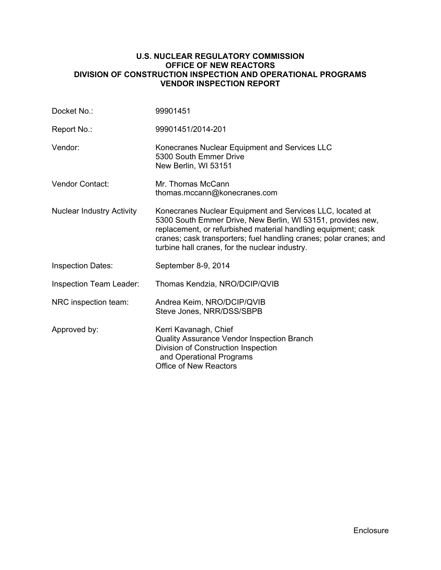### **U.S. NUCLEAR REGULATORY COMMISSION OFFICE OF NEW REACTORS DIVISION OF CONSTRUCTION INSPECTION AND OPERATIONAL PROGRAMS VENDOR INSPECTION REPORT**

| 99901451                                                                                                                                                                                                                                                                                                          |  |  |
|-------------------------------------------------------------------------------------------------------------------------------------------------------------------------------------------------------------------------------------------------------------------------------------------------------------------|--|--|
| 99901451/2014-201                                                                                                                                                                                                                                                                                                 |  |  |
| Konecranes Nuclear Equipment and Services LLC<br>5300 South Emmer Drive<br>New Berlin, WI 53151                                                                                                                                                                                                                   |  |  |
| Mr. Thomas McCann<br>thomas.mccann@konecranes.com                                                                                                                                                                                                                                                                 |  |  |
| Konecranes Nuclear Equipment and Services LLC, located at<br>5300 South Emmer Drive, New Berlin, WI 53151, provides new,<br>replacement, or refurbished material handling equipment; cask<br>cranes; cask transporters; fuel handling cranes; polar cranes; and<br>turbine hall cranes, for the nuclear industry. |  |  |
| September 8-9, 2014                                                                                                                                                                                                                                                                                               |  |  |
| Thomas Kendzia, NRO/DCIP/QVIB                                                                                                                                                                                                                                                                                     |  |  |
| Andrea Keim, NRO/DCIP/QVIB<br>Steve Jones, NRR/DSS/SBPB                                                                                                                                                                                                                                                           |  |  |
| Kerri Kavanagh, Chief<br>Quality Assurance Vendor Inspection Branch<br>Division of Construction Inspection<br>and Operational Programs<br><b>Office of New Reactors</b>                                                                                                                                           |  |  |
|                                                                                                                                                                                                                                                                                                                   |  |  |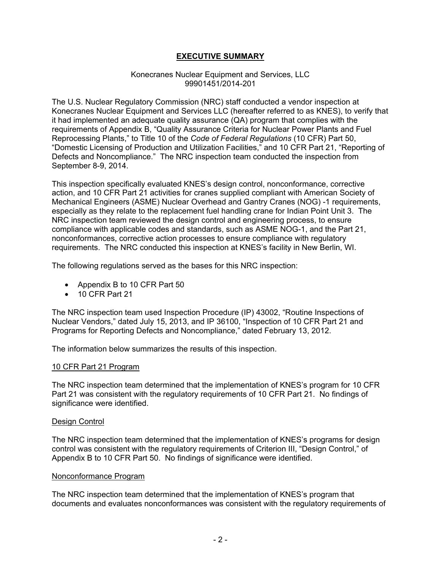# **EXECUTIVE SUMMARY**

#### Konecranes Nuclear Equipment and Services, LLC 99901451/2014-201

The U.S. Nuclear Regulatory Commission (NRC) staff conducted a vendor inspection at Konecranes Nuclear Equipment and Services LLC (hereafter referred to as KNES), to verify that it had implemented an adequate quality assurance (QA) program that complies with the requirements of Appendix B, "Quality Assurance Criteria for Nuclear Power Plants and Fuel Reprocessing Plants," to Title 10 of the *Code of Federal Regulations* (10 CFR) Part 50, "Domestic Licensing of Production and Utilization Facilities," and 10 CFR Part 21, "Reporting of Defects and Noncompliance." The NRC inspection team conducted the inspection from September 8-9, 2014.

This inspection specifically evaluated KNES's design control, nonconformance, corrective action, and 10 CFR Part 21 activities for cranes supplied compliant with American Society of Mechanical Engineers (ASME) Nuclear Overhead and Gantry Cranes (NOG) -1 requirements, especially as they relate to the replacement fuel handling crane for Indian Point Unit 3. The NRC inspection team reviewed the design control and engineering process, to ensure compliance with applicable codes and standards, such as ASME NOG-1, and the Part 21, nonconformances, corrective action processes to ensure compliance with regulatory requirements. The NRC conducted this inspection at KNES's facility in New Berlin, WI.

The following regulations served as the bases for this NRC inspection:

- Appendix B to 10 CFR Part 50
- 10 CFR Part 21

The NRC inspection team used Inspection Procedure (IP) 43002, "Routine Inspections of Nuclear Vendors," dated July 15, 2013, and IP 36100, "Inspection of 10 CFR Part 21 and Programs for Reporting Defects and Noncompliance," dated February 13, 2012.

The information below summarizes the results of this inspection.

## 10 CFR Part 21 Program

The NRC inspection team determined that the implementation of KNES's program for 10 CFR Part 21 was consistent with the regulatory requirements of 10 CFR Part 21. No findings of significance were identified.

#### Design Control

The NRC inspection team determined that the implementation of KNES's programs for design control was consistent with the regulatory requirements of Criterion III, "Design Control," of Appendix B to 10 CFR Part 50. No findings of significance were identified.

#### Nonconformance Program

The NRC inspection team determined that the implementation of KNES's program that documents and evaluates nonconformances was consistent with the regulatory requirements of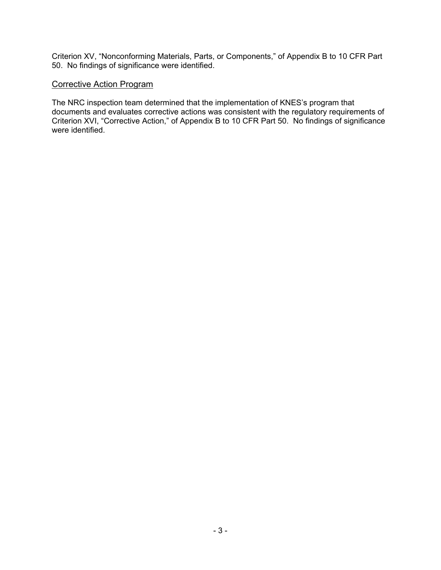Criterion XV, "Nonconforming Materials, Parts, or Components," of Appendix B to 10 CFR Part 50. No findings of significance were identified.

### Corrective Action Program

The NRC inspection team determined that the implementation of KNES's program that documents and evaluates corrective actions was consistent with the regulatory requirements of Criterion XVI, "Corrective Action," of Appendix B to 10 CFR Part 50. No findings of significance were identified.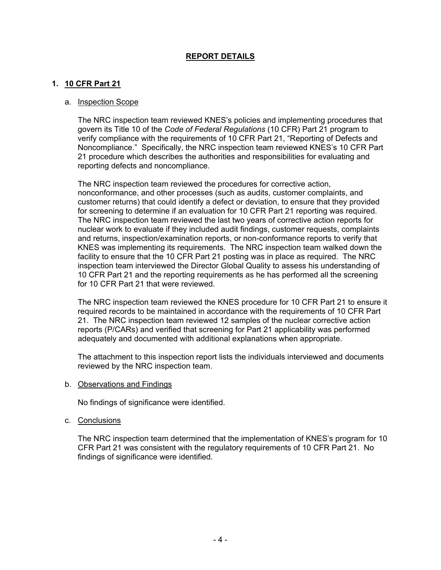# **REPORT DETAILS**

## **1. 10 CFR Part 21**

#### a. Inspection Scope

The NRC inspection team reviewed KNES's policies and implementing procedures that govern its Title 10 of the *Code of Federal Regulations* (10 CFR) Part 21 program to verify compliance with the requirements of 10 CFR Part 21, "Reporting of Defects and Noncompliance." Specifically, the NRC inspection team reviewed KNES's 10 CFR Part 21 procedure which describes the authorities and responsibilities for evaluating and reporting defects and noncompliance.

The NRC inspection team reviewed the procedures for corrective action, nonconformance, and other processes (such as audits, customer complaints, and customer returns) that could identify a defect or deviation, to ensure that they provided for screening to determine if an evaluation for 10 CFR Part 21 reporting was required. The NRC inspection team reviewed the last two years of corrective action reports for nuclear work to evaluate if they included audit findings, customer requests, complaints and returns, inspection/examination reports, or non-conformance reports to verify that KNES was implementing its requirements. The NRC inspection team walked down the facility to ensure that the 10 CFR Part 21 posting was in place as required. The NRC inspection team interviewed the Director Global Quality to assess his understanding of 10 CFR Part 21 and the reporting requirements as he has performed all the screening for 10 CFR Part 21 that were reviewed.

The NRC inspection team reviewed the KNES procedure for 10 CFR Part 21 to ensure it required records to be maintained in accordance with the requirements of 10 CFR Part 21. The NRC inspection team reviewed 12 samples of the nuclear corrective action reports (P/CARs) and verified that screening for Part 21 applicability was performed adequately and documented with additional explanations when appropriate.

The attachment to this inspection report lists the individuals interviewed and documents reviewed by the NRC inspection team.

b. Observations and Findings

No findings of significance were identified.

c. Conclusions

The NRC inspection team determined that the implementation of KNES's program for 10 CFR Part 21 was consistent with the regulatory requirements of 10 CFR Part 21. No findings of significance were identified.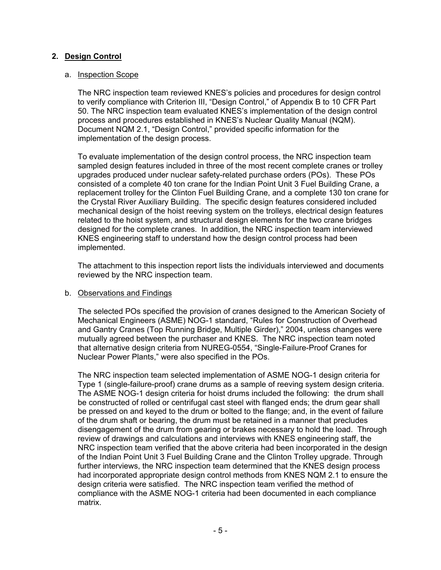# **2. Design Control**

### a. Inspection Scope

The NRC inspection team reviewed KNES's policies and procedures for design control to verify compliance with Criterion III, "Design Control," of Appendix B to 10 CFR Part 50. The NRC inspection team evaluated KNES's implementation of the design control process and procedures established in KNES's Nuclear Quality Manual (NQM). Document NQM 2.1, "Design Control," provided specific information for the implementation of the design process.

To evaluate implementation of the design control process, the NRC inspection team sampled design features included in three of the most recent complete cranes or trolley upgrades produced under nuclear safety-related purchase orders (POs). These POs consisted of a complete 40 ton crane for the Indian Point Unit 3 Fuel Building Crane, a replacement trolley for the Clinton Fuel Building Crane, and a complete 130 ton crane for the Crystal River Auxiliary Building. The specific design features considered included mechanical design of the hoist reeving system on the trolleys, electrical design features related to the hoist system, and structural design elements for the two crane bridges designed for the complete cranes. In addition, the NRC inspection team interviewed KNES engineering staff to understand how the design control process had been implemented.

The attachment to this inspection report lists the individuals interviewed and documents reviewed by the NRC inspection team.

## b. Observations and Findings

The selected POs specified the provision of cranes designed to the American Society of Mechanical Engineers (ASME) NOG-1 standard, "Rules for Construction of Overhead and Gantry Cranes (Top Running Bridge, Multiple Girder)," 2004, unless changes were mutually agreed between the purchaser and KNES. The NRC inspection team noted that alternative design criteria from NUREG-0554, "Single-Failure-Proof Cranes for Nuclear Power Plants," were also specified in the POs.

The NRC inspection team selected implementation of ASME NOG-1 design criteria for Type 1 (single-failure-proof) crane drums as a sample of reeving system design criteria. The ASME NOG-1 design criteria for hoist drums included the following: the drum shall be constructed of rolled or centrifugal cast steel with flanged ends; the drum gear shall be pressed on and keyed to the drum or bolted to the flange; and, in the event of failure of the drum shaft or bearing, the drum must be retained in a manner that precludes disengagement of the drum from gearing or brakes necessary to hold the load. Through review of drawings and calculations and interviews with KNES engineering staff, the NRC inspection team verified that the above criteria had been incorporated in the design of the Indian Point Unit 3 Fuel Building Crane and the Clinton Trolley upgrade. Through further interviews, the NRC inspection team determined that the KNES design process had incorporated appropriate design control methods from KNES NQM 2.1 to ensure the design criteria were satisfied. The NRC inspection team verified the method of compliance with the ASME NOG-1 criteria had been documented in each compliance matrix.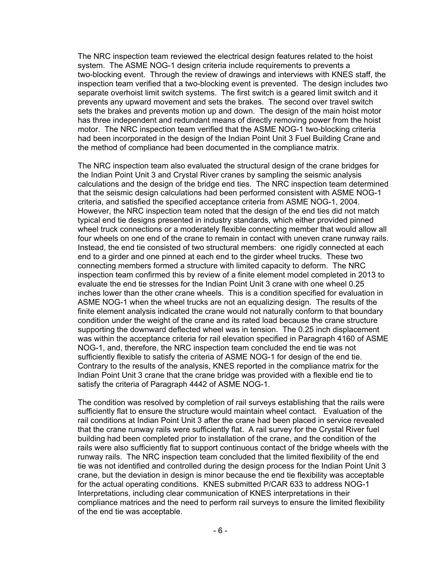The NRC inspection team reviewed the electrical design features related to the hoist system. The ASME NOG-1 design criteria include requirements to prevents a two-blocking event. Through the review of drawings and interviews with KNES staff, the inspection team verified that a two-blocking event is prevented. The design includes two separate overhoist limit switch systems. The first switch is a geared limit switch and it prevents any upward movement and sets the brakes. The second over travel switch sets the brakes and prevents motion up and down. The design of the main hoist motor has three independent and redundant means of directly removing power from the hoist motor. The NRC inspection team verified that the ASME NOG-1 two-blocking criteria had been incorporated in the design of the Indian Point Unit 3 Fuel Building Crane and the method of compliance had been documented in the compliance matrix.

The NRC inspection team also evaluated the structural design of the crane bridges for the Indian Point Unit 3 and Crystal River cranes by sampling the seismic analysis calculations and the design of the bridge end ties. The NRC inspection team determined that the seismic design calculations had been performed consistent with ASME NOG-1 criteria, and satisfied the specified acceptance criteria from ASME NOG-1, 2004. However, the NRC inspection team noted that the design of the end ties did not match typical end tie designs presented in industry standards, which either provided pinned wheel truck connections or a moderately flexible connecting member that would allow all four wheels on one end of the crane to remain in contact with uneven crane runway rails. Instead, the end tie consisted of two structural members: one rigidly connected at each end to a girder and one pinned at each end to the girder wheel trucks. These two connecting members formed a structure with limited capacity to deform. The NRC inspection team confirmed this by review of a finite element model completed in 2013 to evaluate the end tie stresses for the Indian Point Unit 3 crane with one wheel 0.25 inches lower than the other crane wheels. This is a condition specified for evaluation in ASME NOG-1 when the wheel trucks are not an equalizing design. The results of the finite element analysis indicated the crane would not naturally conform to that boundary condition under the weight of the crane and its rated load because the crane structure supporting the downward deflected wheel was in tension. The 0.25 inch displacement was within the acceptance criteria for rail elevation specified in Paragraph 4160 of ASME NOG-1, and, therefore, the NRC inspection team concluded the end tie was not sufficiently flexible to satisfy the criteria of ASME NOG-1 for design of the end tie. Contrary to the results of the analysis, KNES reported in the compliance matrix for the Indian Point Unit 3 crane that the crane bridge was provided with a flexible end tie to satisfy the criteria of Paragraph 4442 of ASME NOG-1.

The condition was resolved by completion of rail surveys establishing that the rails were sufficiently flat to ensure the structure would maintain wheel contact. Evaluation of the rail conditions at Indian Point Unit 3 after the crane had been placed in service revealed that the crane runway rails were sufficiently flat. A rail survey for the Crystal River fuel building had been completed prior to installation of the crane, and the condition of the rails were also sufficiently flat to support continuous contact of the bridge wheels with the runway rails. The NRC inspection team concluded that the limited flexibility of the end tie was not identified and controlled during the design process for the Indian Point Unit 3 crane, but the deviation in design is minor because the end tie flexibility was acceptable for the actual operating conditions. KNES submitted P/CAR 633 to address NOG-1 Interpretations, including clear communication of KNES interpretations in their compliance matrices and the need to perform rail surveys to ensure the limited flexibility of the end tie was acceptable.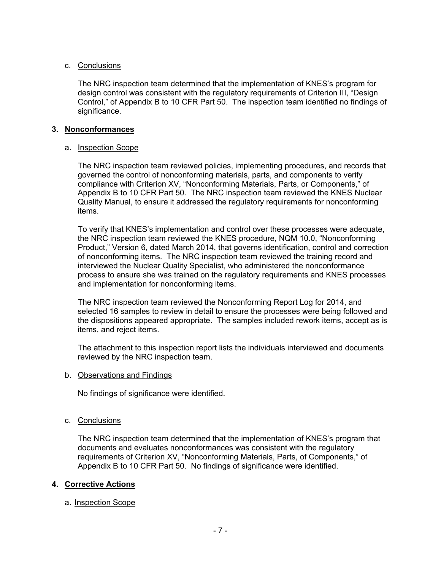## c. Conclusions

The NRC inspection team determined that the implementation of KNES's program for design control was consistent with the regulatory requirements of Criterion III, "Design Control," of Appendix B to 10 CFR Part 50. The inspection team identified no findings of significance.

## **3. Nonconformances**

# a. Inspection Scope

The NRC inspection team reviewed policies, implementing procedures, and records that governed the control of nonconforming materials, parts, and components to verify compliance with Criterion XV, "Nonconforming Materials, Parts, or Components," of Appendix B to 10 CFR Part 50. The NRC inspection team reviewed the KNES Nuclear Quality Manual, to ensure it addressed the regulatory requirements for nonconforming items.

To verify that KNES's implementation and control over these processes were adequate, the NRC inspection team reviewed the KNES procedure, NQM 10.0, "Nonconforming Product," Version 6, dated March 2014, that governs identification, control and correction of nonconforming items. The NRC inspection team reviewed the training record and interviewed the Nuclear Quality Specialist, who administered the nonconformance process to ensure she was trained on the regulatory requirements and KNES processes and implementation for nonconforming items.

The NRC inspection team reviewed the Nonconforming Report Log for 2014, and selected 16 samples to review in detail to ensure the processes were being followed and the dispositions appeared appropriate. The samples included rework items, accept as is items, and reject items.

The attachment to this inspection report lists the individuals interviewed and documents reviewed by the NRC inspection team.

## b. Observations and Findings

No findings of significance were identified.

## c. Conclusions

The NRC inspection team determined that the implementation of KNES's program that documents and evaluates nonconformances was consistent with the regulatory requirements of Criterion XV, "Nonconforming Materials, Parts, of Components," of Appendix B to 10 CFR Part 50. No findings of significance were identified.

# **4. Corrective Actions**

# a. Inspection Scope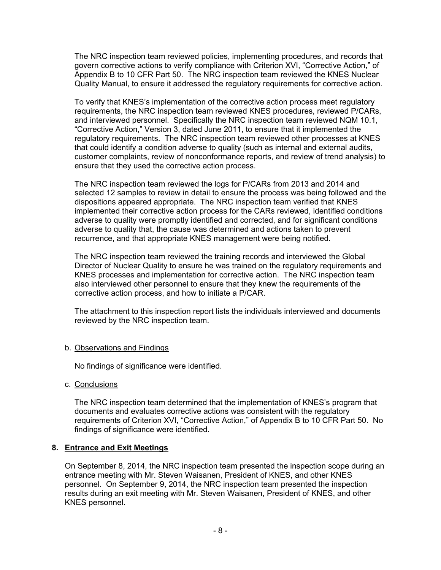The NRC inspection team reviewed policies, implementing procedures, and records that govern corrective actions to verify compliance with Criterion XVI, "Corrective Action," of Appendix B to 10 CFR Part 50. The NRC inspection team reviewed the KNES Nuclear Quality Manual, to ensure it addressed the regulatory requirements for corrective action.

To verify that KNES's implementation of the corrective action process meet regulatory requirements, the NRC inspection team reviewed KNES procedures, reviewed P/CARs, and interviewed personnel. Specifically the NRC inspection team reviewed NQM 10.1, "Corrective Action," Version 3, dated June 2011, to ensure that it implemented the regulatory requirements. The NRC inspection team reviewed other processes at KNES that could identify a condition adverse to quality (such as internal and external audits, customer complaints, review of nonconformance reports, and review of trend analysis) to ensure that they used the corrective action process.

The NRC inspection team reviewed the logs for P/CARs from 2013 and 2014 and selected 12 samples to review in detail to ensure the process was being followed and the dispositions appeared appropriate. The NRC inspection team verified that KNES implemented their corrective action process for the CARs reviewed, identified conditions adverse to quality were promptly identified and corrected, and for significant conditions adverse to quality that, the cause was determined and actions taken to prevent recurrence, and that appropriate KNES management were being notified.

The NRC inspection team reviewed the training records and interviewed the Global Director of Nuclear Quality to ensure he was trained on the regulatory requirements and KNES processes and implementation for corrective action. The NRC inspection team also interviewed other personnel to ensure that they knew the requirements of the corrective action process, and how to initiate a P/CAR.

The attachment to this inspection report lists the individuals interviewed and documents reviewed by the NRC inspection team.

## b. Observations and Findings

No findings of significance were identified.

c. Conclusions

The NRC inspection team determined that the implementation of KNES's program that documents and evaluates corrective actions was consistent with the regulatory requirements of Criterion XVI, "Corrective Action," of Appendix B to 10 CFR Part 50. No findings of significance were identified.

## **8. Entrance and Exit Meetings**

On September 8, 2014, the NRC inspection team presented the inspection scope during an entrance meeting with Mr. Steven Waisanen, President of KNES, and other KNES personnel. On September 9, 2014, the NRC inspection team presented the inspection results during an exit meeting with Mr. Steven Waisanen, President of KNES, and other KNES personnel.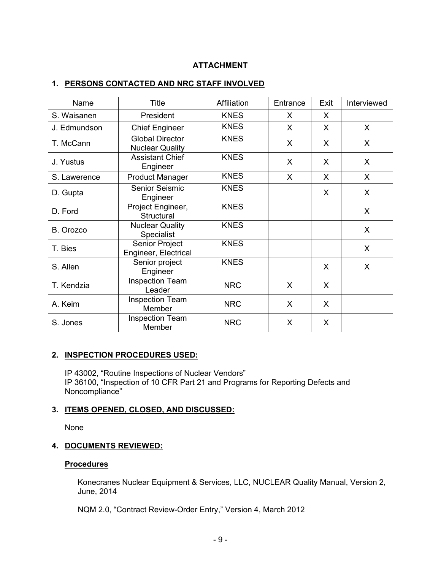# **ATTACHMENT**

## **1. PERSONS CONTACTED AND NRC STAFF INVOLVED**

| Name         | <b>Title</b>                                     | Affiliation | Entrance | Exit | Interviewed  |
|--------------|--------------------------------------------------|-------------|----------|------|--------------|
| S. Waisanen  | President                                        | <b>KNES</b> | X        | X    |              |
| J. Edmundson | <b>Chief Engineer</b>                            | <b>KNES</b> | $\sf X$  | X    | $\mathsf{X}$ |
| T. McCann    | <b>Global Director</b><br><b>Nuclear Quality</b> | <b>KNES</b> | X        | X    | X            |
| J. Yustus    | <b>Assistant Chief</b><br>Engineer               | <b>KNES</b> | X        | X    | X            |
| S. Lawerence | <b>Product Manager</b>                           | <b>KNES</b> | $\sf X$  | X    | $\mathsf{X}$ |
| D. Gupta     | <b>Senior Seismic</b><br>Engineer                | <b>KNES</b> |          | X    | X            |
| D. Ford      | Project Engineer,<br>Structural                  | <b>KNES</b> |          |      | X            |
| B. Orozco    | <b>Nuclear Quality</b><br>Specialist             | <b>KNES</b> |          |      | X            |
| T. Bies      | Senior Project<br>Engineer, Electrical           | <b>KNES</b> |          |      | X            |
| S. Allen     | Senior project<br>Engineer                       | <b>KNES</b> |          | X    | X            |
| T. Kendzia   | <b>Inspection Team</b><br>Leader                 | <b>NRC</b>  | X        | X    |              |
| A. Keim      | <b>Inspection Team</b><br>Member                 | <b>NRC</b>  | X        | X    |              |
| S. Jones     | <b>Inspection Team</b><br>Member                 | <b>NRC</b>  | X        | X    |              |

# **2. INSPECTION PROCEDURES USED:**

IP 43002, "Routine Inspections of Nuclear Vendors" IP 36100, "Inspection of 10 CFR Part 21 and Programs for Reporting Defects and Noncompliance"

## **3. ITEMS OPENED, CLOSED, AND DISCUSSED:**

None

#### **4. DOCUMENTS REVIEWED:**

### **Procedures**

Konecranes Nuclear Equipment & Services, LLC, NUCLEAR Quality Manual, Version 2, June, 2014

NQM 2.0, "Contract Review-Order Entry," Version 4, March 2012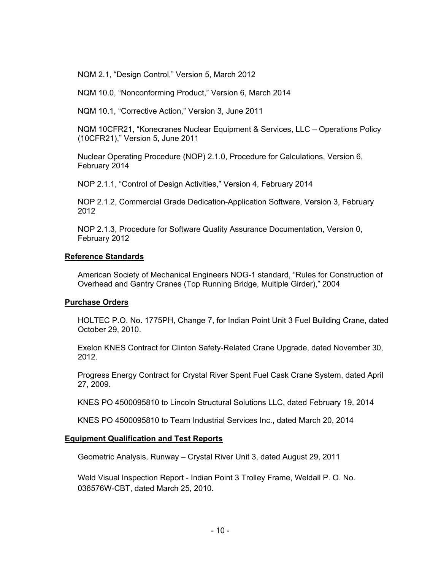NQM 2.1, "Design Control," Version 5, March 2012

NQM 10.0, "Nonconforming Product," Version 6, March 2014

NQM 10.1, "Corrective Action," Version 3, June 2011

NQM 10CFR21, "Konecranes Nuclear Equipment & Services, LLC – Operations Policy (10CFR21)," Version 5, June 2011

Nuclear Operating Procedure (NOP) 2.1.0, Procedure for Calculations, Version 6, February 2014

NOP 2.1.1, "Control of Design Activities," Version 4, February 2014

NOP 2.1.2, Commercial Grade Dedication-Application Software, Version 3, February 2012

NOP 2.1.3, Procedure for Software Quality Assurance Documentation, Version 0, February 2012

### **Reference Standards**

American Society of Mechanical Engineers NOG-1 standard, "Rules for Construction of Overhead and Gantry Cranes (Top Running Bridge, Multiple Girder)," 2004

#### **Purchase Orders**

HOLTEC P.O. No. 1775PH, Change 7, for Indian Point Unit 3 Fuel Building Crane, dated October 29, 2010.

Exelon KNES Contract for Clinton Safety-Related Crane Upgrade, dated November 30, 2012.

Progress Energy Contract for Crystal River Spent Fuel Cask Crane System, dated April 27, 2009.

KNES PO 4500095810 to Lincoln Structural Solutions LLC, dated February 19, 2014

KNES PO 4500095810 to Team Industrial Services Inc., dated March 20, 2014

### **Equipment Qualification and Test Reports**

Geometric Analysis, Runway – Crystal River Unit 3, dated August 29, 2011

Weld Visual Inspection Report - Indian Point 3 Trolley Frame, Weldall P. O. No. 036576W-CBT, dated March 25, 2010.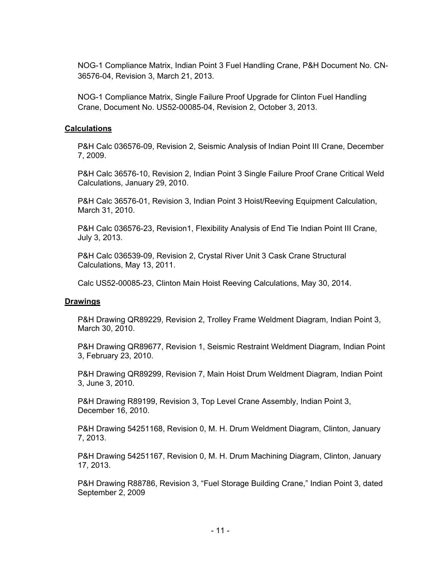NOG-1 Compliance Matrix, Indian Point 3 Fuel Handling Crane, P&H Document No. CN-36576-04, Revision 3, March 21, 2013.

NOG-1 Compliance Matrix, Single Failure Proof Upgrade for Clinton Fuel Handling Crane, Document No. US52-00085-04, Revision 2, October 3, 2013.

## **Calculations**

P&H Calc 036576-09, Revision 2, Seismic Analysis of Indian Point III Crane, December 7, 2009.

P&H Calc 36576-10, Revision 2, Indian Point 3 Single Failure Proof Crane Critical Weld Calculations, January 29, 2010.

P&H Calc 36576-01, Revision 3, Indian Point 3 Hoist/Reeving Equipment Calculation, March 31, 2010.

P&H Calc 036576-23, Revision1, Flexibility Analysis of End Tie Indian Point III Crane, July 3, 2013.

P&H Calc 036539-09, Revision 2, Crystal River Unit 3 Cask Crane Structural Calculations, May 13, 2011.

Calc US52-00085-23, Clinton Main Hoist Reeving Calculations, May 30, 2014.

## **Drawings**

P&H Drawing QR89229, Revision 2, Trolley Frame Weldment Diagram, Indian Point 3, March 30, 2010.

P&H Drawing QR89677, Revision 1, Seismic Restraint Weldment Diagram, Indian Point 3, February 23, 2010.

P&H Drawing QR89299, Revision 7, Main Hoist Drum Weldment Diagram, Indian Point 3, June 3, 2010.

P&H Drawing R89199, Revision 3, Top Level Crane Assembly, Indian Point 3, December 16, 2010.

P&H Drawing 54251168, Revision 0, M. H. Drum Weldment Diagram, Clinton, January 7, 2013.

P&H Drawing 54251167, Revision 0, M. H. Drum Machining Diagram, Clinton, January 17, 2013.

P&H Drawing R88786, Revision 3, "Fuel Storage Building Crane," Indian Point 3, dated September 2, 2009